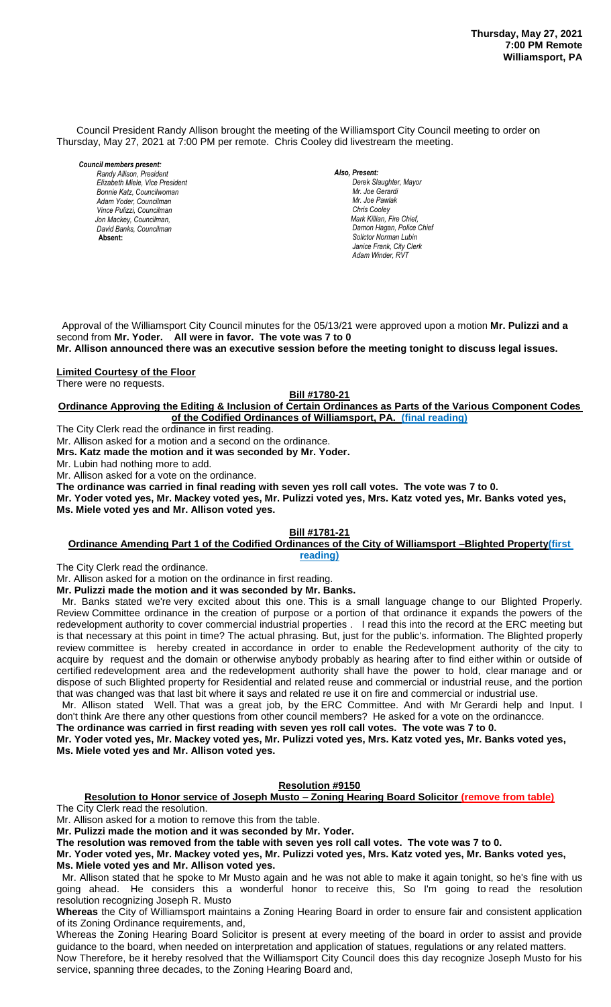Council President Randy Allison brought the meeting of the Williamsport City Council meeting to order on Thursday, May 27, 2021 at 7:00 PM per remote. Chris Cooley did livestream the meeting.

*Council members present:*

*Randy Allison, President , President Elizabeth Miele, Vice President Bill Hall, Councilman Bonnie Katz, Councilwoman Adam Yoder, Councilman Vince Pulizzi, Councilman Jon Mackey, Councilman, David Banks, Councilman*  **Absent:** 

*Also, Present:* 

*Derek Slaughter, Mayor Mr. William Nichols, Jr. Mr. Joe Gerardi Mr. Joseph Pawlak Mr. Joe Pawlak Chris Cooley Mark Killian, Fire Chief,* **Damon Hagan, Police Chief** *Solictor Norman Lubin Janice Frank, City Clerk Adam Winder, RVT* 

 Approval of the Williamsport City Council minutes for the 05/13/21 were approved upon a motion **Mr. Pulizzi and a** second from **Mr. Yoder. All were in favor. The vote was 7 to 0**

**Mr. Allison announced there was an executive session before the meeting tonight to discuss legal issues.** *.* 

**Limited Courtesy of the Floor**

There were no requests.

**Bill #1780-21**

**Ordinance Approving the Editing & Inclusion of Certain Ordinances as Parts of the Various Component Codes of the Codified Ordinances of Williamsport, PA. (final reading)** *Janice Frank, City Clerk, absent* 

The City Clerk read the ordinance in first reading.

Mr. Allison asked for a motion and a second on the ordinance.

**Mrs. Katz made the motion and it was seconded by Mr. Yoder.**

Mr. Lubin had nothing more to add.

Mr. Allison asked for a vote on the ordinance.

**The ordinance was carried in final reading with seven yes roll call votes. The vote was 7 to 0.**

**Mr. Yoder voted yes, Mr. Mackey voted yes, Mr. Pulizzi voted yes, Mrs. Katz voted yes, Mr. Banks voted yes,**  *Members of News Media* **Ms. Miele voted yes and Mr. Allison voted yes.** *Members of the news media*

## **Bill #1781-21**

## **Ordinance Amending Part 1 of the Codified Ordinances of the City of Williamsport –Blighted Property(first reading)**

The City Clerk read the ordinance.

Mr. Allison asked for a motion on the ordinance in first reading. **Mr. Pulizzi made the motion and it was seconded by Mr. Banks.**

 Mr. Banks stated we're very excited about this one. This is a small language change to our Blighted Properly. Review Committee ordinance in the creation of purpose or a portion of that ordinance it expands the powers of the redevelopment authority to cover commercial industrial properties . I read this into the record at the ERC meeting but is that necessary at this point in time? The actual phrasing. But, just for the public's. information. The Blighted properly review committee is hereby created in accordance in order to enable the Redevelopment authority of the city to acquire by request and the domain or otherwise anybody probably as hearing after to find either within or outside of certified redevelopment area and the redevelopment authority shall have the power to hold, clear manage and or dispose of such Blighted property for Residential and related reuse and commercial or industrial reuse, and the portion that was changed was that last bit where it says and related re use it on fire and commercial or industrial use.

 Mr. Allison stated Well. That was a great job, by the ERC Committee. And with Mr Gerardi help and Input. I don't think Are there any other questions from other council members? He asked for a vote on the ordinancce.

**The ordinance was carried in first reading with seven yes roll call votes. The vote was 7 to 0.**

**Mr. Yoder voted yes, Mr. Mackey voted yes, Mr. Pulizzi voted yes, Mrs. Katz voted yes, Mr. Banks voted yes, Ms. Miele voted yes and Mr. Allison voted yes.**

### **Resolution #9150**

**Resolution to Honor service of Joseph Musto – Zoning Hearing Board Solicitor (remove from table)** The City Clerk read the resolution.

Mr. Allison asked for a motion to remove this from the table.

**Mr. Pulizzi made the motion and it was seconded by Mr. Yoder.**

**The resolution was removed from the table with seven yes roll call votes. The vote was 7 to 0.**

**Mr. Yoder voted yes, Mr. Mackey voted yes, Mr. Pulizzi voted yes, Mrs. Katz voted yes, Mr. Banks voted yes,** 

**Ms. Miele voted yes and Mr. Allison voted yes.**

 Mr. Allison stated that he spoke to Mr Musto again and he was not able to make it again tonight, so he's fine with us going ahead. He considers this a wonderful honor to receive this, So I'm going to read the resolution resolution recognizing Joseph R. Musto

**Whereas** the City of Williamsport maintains a Zoning Hearing Board in order to ensure fair and consistent application of its Zoning Ordinance requirements, and,

Whereas the Zoning Hearing Board Solicitor is present at every meeting of the board in order to assist and provide guidance to the board, when needed on interpretation and application of statues, regulations or any related matters. Now Therefore, be it hereby resolved that the Williamsport City Council does this day recognize Joseph Musto for his service, spanning three decades, to the Zoning Hearing Board and,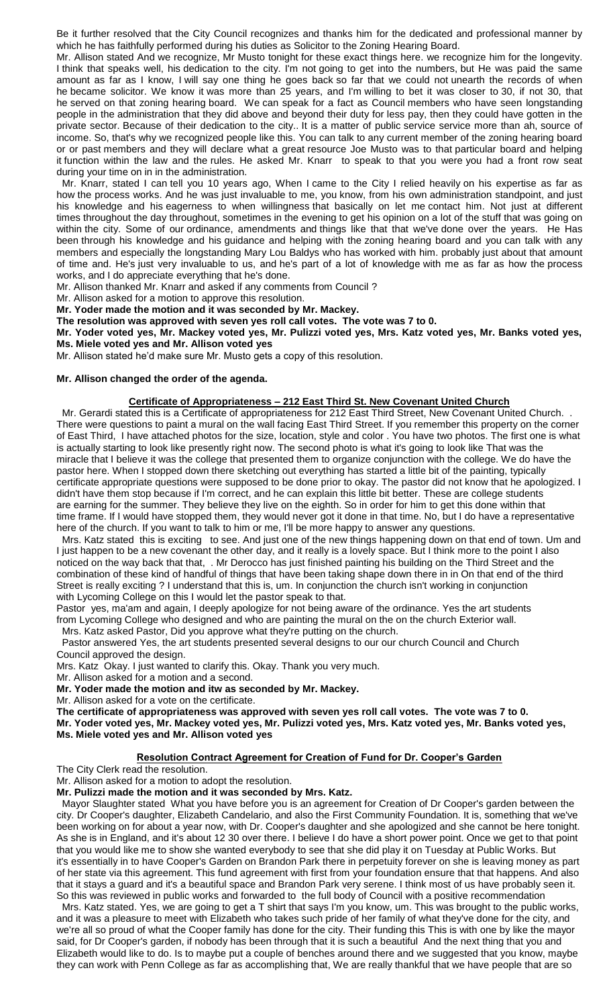Be it further resolved that the City Council recognizes and thanks him for the dedicated and professional manner by which he has faithfully performed during his duties as Solicitor to the Zoning Hearing Board.

Mr. Allison stated And we recognize, Mr Musto tonight for these exact things here. we recognize him for the longevity. I think that speaks well, his dedication to the city. I'm not going to get into the numbers, but He was paid the same amount as far as I know, I will say one thing he goes back so far that we could not unearth the records of when he became solicitor. We know it was more than 25 years, and I'm willing to bet it was closer to 30, if not 30, that he served on that zoning hearing board. We can speak for a fact as Council members who have seen longstanding people in the administration that they did above and beyond their duty for less pay, then they could have gotten in the private sector. Because of their dedication to the city.. It is a matter of public service service more than ah, source of income. So, that's why we recognized people like this. You can talk to any current member of the zoning hearing board or or past members and they will declare what a great resource Joe Musto was to that particular board and helping it function within the law and the rules. He asked Mr. Knarr to speak to that you were you had a front row seat during your time on in in the administration.

 Mr. Knarr, stated I can tell you 10 years ago, When I came to the City I relied heavily on his expertise as far as how the process works. And he was just invaluable to me, you know, from his own administration standpoint, and just his knowledge and his eagerness to when willingness that basically on let me contact him. Not just at different times throughout the day throughout, sometimes in the evening to get his opinion on a lot of the stuff that was going on within the city. Some of our ordinance, amendments and things like that that we've done over the years. He Has been through his knowledge and his guidance and helping with the zoning hearing board and you can talk with any members and especially the longstanding Mary Lou Baldys who has worked with him. probably just about that amount of time and. He's just very invaluable to us, and he's part of a lot of knowledge with me as far as how the process works, and I do appreciate everything that he's done.

Mr. Allison thanked Mr. Knarr and asked if any comments from Council ?

Mr. Allison asked for a motion to approve this resolution.

**Mr. Yoder made the motion and it was seconded by Mr. Mackey.**

**The resolution was approved with seven yes roll call votes. The vote was 7 to 0.**

**Mr. Yoder voted yes, Mr. Mackey voted yes, Mr. Pulizzi voted yes, Mrs. Katz voted yes, Mr. Banks voted yes, Ms. Miele voted yes and Mr. Allison voted yes**

Mr. Allison stated he'd make sure Mr. Musto gets a copy of this resolution.

#### **Mr. Allison changed the order of the agenda.**

#### **Certificate of Appropriateness – 212 East Third St. New Covenant United Church**

 Mr. Gerardi stated this is a Certificate of appropriateness for 212 East Third Street, New Covenant United Church. . There were questions to paint a mural on the wall facing East Third Street. If you remember this property on the corner of East Third, I have attached photos for the size, location, style and color . You have two photos. The first one is what is actually starting to look like presently right now. The second photo is what it's going to look like That was the miracle that I believe it was the college that presented them to organize conjunction with the college. We do have the pastor here. When I stopped down there sketching out everything has started a little bit of the painting, typically certificate appropriate questions were supposed to be done prior to okay. The pastor did not know that he apologized. I didn't have them stop because if I'm correct, and he can explain this little bit better. These are college students are earning for the summer. They believe they live on the eighth. So in order for him to get this done within that time frame. If I would have stopped them, they would never got it done in that time. No, but I do have a representative here of the church. If you want to talk to him or me, I'll be more happy to answer any questions.

 Mrs. Katz stated this is exciting to see. And just one of the new things happening down on that end of town. Um and I just happen to be a new covenant the other day, and it really is a lovely space. But I think more to the point I also noticed on the way back that that, . Mr Derocco has just finished painting his building on the Third Street and the combination of these kind of handful of things that have been taking shape down there in in On that end of the third Street is really exciting ? I understand that this is, um. In conjunction the church isn't working in conjunction with Lycoming College on this I would let the pastor speak to that.

Pastor yes, ma'am and again, I deeply apologize for not being aware of the ordinance. Yes the art students from Lycoming College who designed and who are painting the mural on the on the church Exterior wall. Mrs. Katz asked Pastor, Did you approve what they're putting on the church.

 Pastor answered Yes, the art students presented several designs to our our church Council and Church Council approved the design.

Mrs. Katz Okay. I just wanted to clarify this. Okay. Thank you very much.

Mr. Allison asked for a motion and a second.

**Mr. Yoder made the motion and itw as seconded by Mr. Mackey.**

Mr. Allison asked for a vote on the certificate.

**The certificate of appropriateness was approved with seven yes roll call votes. The vote was 7 to 0. Mr. Yoder voted yes, Mr. Mackey voted yes, Mr. Pulizzi voted yes, Mrs. Katz voted yes, Mr. Banks voted yes, Ms. Miele voted yes and Mr. Allison voted yes**

### **Resolution Contract Agreement for Creation of Fund for Dr. Cooper's Garden**

The City Clerk read the resolution.

Mr. Allison asked for a motion to adopt the resolution.

**Mr. Pulizzi made the motion and it was seconded by Mrs. Katz.**

 Mayor Slaughter stated What you have before you is an agreement for Creation of Dr Cooper's garden between the city. Dr Cooper's daughter, Elizabeth Candelario, and also the First Community Foundation. It is, something that we've been working on for about a year now, with Dr. Cooper's daughter and she apologized and she cannot be here tonight. As she is in England, and it's about 12 30 over there. I believe I do have a short power point. Once we get to that point that you would like me to show she wanted everybody to see that she did play it on Tuesday at Public Works. But it's essentially in to have Cooper's Garden on Brandon Park there in perpetuity forever on she is leaving money as part of her state via this agreement. This fund agreement with first from your foundation ensure that that happens. And also that it stays a guard and it's a beautiful space and Brandon Park very serene. I think most of us have probably seen it. So this was reviewed in public works and forwarded to the full body of Council with a positive recommendation

 Mrs. Katz stated. Yes, we are going to get a T shirt that says I'm you know, um. This was brought to the public works, and it was a pleasure to meet with Elizabeth who takes such pride of her family of what they've done for the city, and we're all so proud of what the Cooper family has done for the city. Their funding this This is with one by like the mayor said, for Dr Cooper's garden, if nobody has been through that it is such a beautiful And the next thing that you and Elizabeth would like to do. Is to maybe put a couple of benches around there and we suggested that you know, maybe they can work with Penn College as far as accomplishing that, We are really thankful that we have people that are so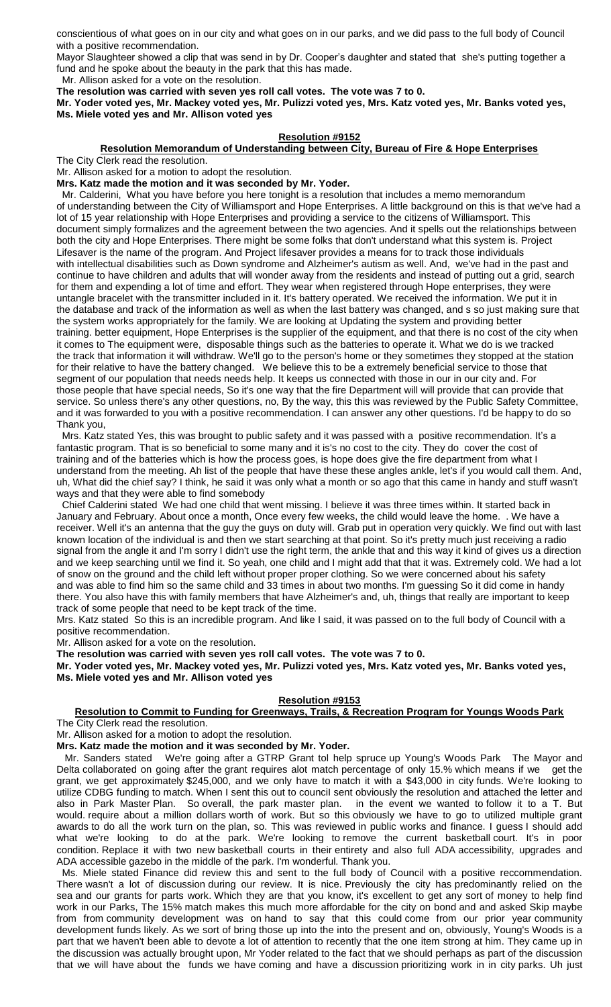conscientious of what goes on in our city and what goes on in our parks, and we did pass to the full body of Council with a positive recommendation.

Mayor Slaughteer showed a clip that was send in by Dr. Cooper's daughter and stated that she's putting together a fund and he spoke about the beauty in the park that this has made.

Mr. Allison asked for a vote on the resolution.

**The resolution was carried with seven yes roll call votes. The vote was 7 to 0.**

**Mr. Yoder voted yes, Mr. Mackey voted yes, Mr. Pulizzi voted yes, Mrs. Katz voted yes, Mr. Banks voted yes, Ms. Miele voted yes and Mr. Allison voted yes**

#### **Resolution #9152**

## **Resolution Memorandum of Understanding between City, Bureau of Fire & Hope Enterprises**

The City Clerk read the resolution.

Mr. Allison asked for a motion to adopt the resolution.

**Mrs. Katz made the motion and it was seconded by Mr. Yoder.**

 Mr. Calderini, What you have before you here tonight is a resolution that includes a memo memorandum of understanding between the City of Williamsport and Hope Enterprises. A little background on this is that we've had a lot of 15 year relationship with Hope Enterprises and providing a service to the citizens of Williamsport. This document simply formalizes and the agreement between the two agencies. And it spells out the relationships between both the city and Hope Enterprises. There might be some folks that don't understand what this system is. Project Lifesaver is the name of the program. And Project lifesaver provides a means for to track those individuals with intellectual disabilities such as Down syndrome and Alzheimer's autism as well. And, we've had in the past and continue to have children and adults that will wonder away from the residents and instead of putting out a grid, search for them and expending a lot of time and effort. They wear when registered through Hope enterprises, they were untangle bracelet with the transmitter included in it. It's battery operated. We received the information. We put it in the database and track of the information as well as when the last battery was changed, and s so just making sure that the system works appropriately for the family. We are looking at Updating the system and providing better training. better equipment, Hope Enterprises is the supplier of the equipment, and that there is no cost of the city when it comes to The equipment were, disposable things such as the batteries to operate it. What we do is we tracked the track that information it will withdraw. We'll go to the person's home or they sometimes they stopped at the station for their relative to have the battery changed. We believe this to be a extremely beneficial service to those that segment of our population that needs needs help. It keeps us connected with those in our in our city and. For those people that have special needs, So it's one way that the fire Department will will provide that can provide that service. So unless there's any other questions, no, By the way, this this was reviewed by the Public Safety Committee, and it was forwarded to you with a positive recommendation. I can answer any other questions. I'd be happy to do so Thank you,

 Mrs. Katz stated Yes, this was brought to public safety and it was passed with a positive recommendation. It's a fantastic program. That is so beneficial to some many and it is's no cost to the city. They do cover the cost of training and of the batteries which is how the process goes, is hope does give the fire department from what I understand from the meeting. Ah list of the people that have these these angles ankle, let's if you would call them. And, uh, What did the chief say? I think, he said it was only what a month or so ago that this came in handy and stuff wasn't ways and that they were able to find somebody

 Chief Calderini stated We had one child that went missing. I believe it was three times within. It started back in January and February. About once a month, Once every few weeks, the child would leave the home. . We have a receiver. Well it's an antenna that the guy the guys on duty will. Grab put in operation very quickly. We find out with last known location of the individual is and then we start searching at that point. So it's pretty much just receiving a radio signal from the angle it and I'm sorry I didn't use the right term, the ankle that and this way it kind of gives us a direction and we keep searching until we find it. So yeah, one child and I might add that that it was. Extremely cold. We had a lot of snow on the ground and the child left without proper proper clothing. So we were concerned about his safety and was able to find him so the same child and 33 times in about two months. I'm guessing So it did come in handy there. You also have this with family members that have Alzheimer's and, uh, things that really are important to keep track of some people that need to be kept track of the time.

Mrs. Katz stated So this is an incredible program. And like I said, it was passed on to the full body of Council with a positive recommendation.

Mr. Allison asked for a vote on the resolution.

**The resolution was carried with seven yes roll call votes. The vote was 7 to 0.**

**Mr. Yoder voted yes, Mr. Mackey voted yes, Mr. Pulizzi voted yes, Mrs. Katz voted yes, Mr. Banks voted yes, Ms. Miele voted yes and Mr. Allison voted yes**

### **Resolution #9153**

#### **Resolution to Commit to Funding for Greenways, Trails, & Recreation Program for Youngs Woods Park** The City Clerk read the resolution.

Mr. Allison asked for a motion to adopt the resolution.

**Mrs. Katz made the motion and it was seconded by Mr. Yoder.**

 Mr. Sanders stated We're going after a GTRP Grant tol help spruce up Young's Woods Park The Mayor and Delta collaborated on going after the grant requires alot match percentage of only 15.% which means if we get the grant, we get approximately \$245,000, and we only have to match it with a \$43,000 in city funds. We're looking to utilize CDBG funding to match. When I sent this out to counciI sent obviously the resolution and attached the letter and also in Park Master Plan. So overall, the park master plan. in the event we wanted to follow it to a T. But would. require about a million dollars worth of work. But so this obviously we have to go to utilized multiple grant awards to do all the work turn on the plan, so. This was reviewed in public works and finance. I guess I should add what we're looking to do at the park. We're looking to remove the current basketball court. It's in poor condition. Replace it with two new basketball courts in their entirety and also full ADA accessibility, upgrades and ADA accessible gazebo in the middle of the park. I'm wonderful. Thank you.

 Ms. Miele stated Finance did review this and sent to the full body of Council with a positive reccommendation. There wasn't a lot of discussion during our review. It is nice. Previously the city has predominantly relied on the sea and our grants for parts work. Which they are that you know, it's excellent to get any sort of money to help find work in our Parks, The 15% match makes this much more affordable for the city on bond and and asked Skip maybe from from community development was on hand to say that this could come from our prior year community development funds likely. As we sort of bring those up into the into the present and on, obviously, Young's Woods is a part that we haven't been able to devote a lot of attention to recently that the one item strong at him. They came up in the discussion was actually brought upon, Mr Yoder related to the fact that we should perhaps as part of the discussion that we will have about the funds we have coming and have a discussion prioritizing work in in city parks. Uh just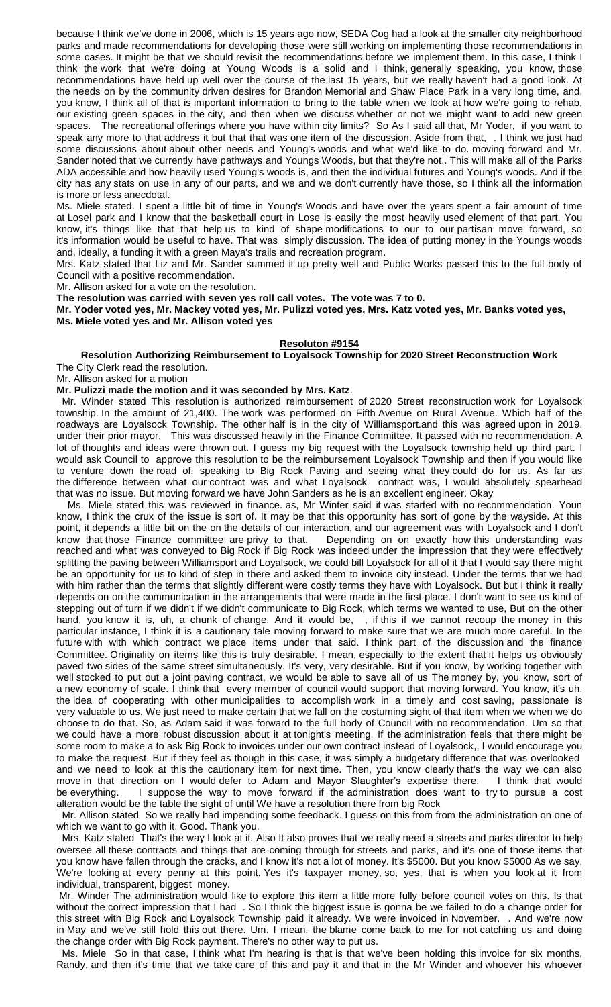because I think we've done in 2006, which is 15 years ago now, SEDA Cog had a look at the smaller city neighborhood parks and made recommendations for developing those were still working on implementing those recommendations in some cases. It might be that we should revisit the recommendations before we implement them. In this case, I think I think the work that we're doing at Young Woods is a solid and I think, generally speaking, you know, those recommendations have held up well over the course of the last 15 years, but we really haven't had a good look. At the needs on by the community driven desires for Brandon Memorial and Shaw Place Park in a very long time, and, you know, I think all of that is important information to bring to the table when we look at how we're going to rehab, our existing green spaces in the city, and then when we discuss whether or not we might want to add new green spaces. The recreational offerings where you have within city limits? So As I said all that, Mr Yoder, if you want to speak any more to that address it but that that was one item of the discussion. Aside from that, . I think we just had some discussions about about other needs and Young's woods and what we'd like to do. moving forward and Mr. Sander noted that we currently have pathways and Youngs Woods, but that they're not.. This will make all of the Parks ADA accessible and how heavily used Young's woods is, and then the individual futures and Young's woods. And if the city has any stats on use in any of our parts, and we and we don't currently have those, so I think all the information is more or less anecdotal.

Ms. Miele stated. I spent a little bit of time in Young's Woods and have over the years spent a fair amount of time at Losel park and I know that the basketball court in Lose is easily the most heavily used element of that part. You know, it's things like that that help us to kind of shape modifications to our to our partisan move forward, so it's information would be useful to have. That was simply discussion. The idea of putting money in the Youngs woods and, ideally, a funding it with a green Maya's trails and recreation program.

Mrs. Katz stated that Liz and Mr. Sander summed it up pretty well and Public Works passed this to the full body of Council with a positive recommendation.

Mr. Allison asked for a vote on the resolution.

**The resolution was carried with seven yes roll call votes. The vote was 7 to 0.**

**Mr. Yoder voted yes, Mr. Mackey voted yes, Mr. Pulizzi voted yes, Mrs. Katz voted yes, Mr. Banks voted yes, Ms. Miele voted yes and Mr. Allison voted yes**

#### **Resoluton #9154**

#### **Resolution Authorizing Reimbursement to Loyalsock Township for 2020 Street Reconstruction Work** The City Clerk read the resolution.

Mr. Allison asked for a motion

#### **Mr. Pulizzi made the motion and it was seconded by Mrs. Katz**.

 Mr. Winder stated This resolution is authorized reimbursement of 2020 Street reconstruction work for Loyalsock township. In the amount of 21,400. The work was performed on Fifth Avenue on Rural Avenue. Which half of the roadways are Loyalsock Township. The other half is in the city of Williamsport.and this was agreed upon in 2019. under their prior mayor, This was discussed heavily in the Finance Committee. It passed with no recommendation. A lot of thoughts and ideas were thrown out. I guess my big request with the Loyalsock township held up third part. I would ask Council to approve this resolution to be the reimbursement Loyalsock Township and then if you would like to venture down the road of. speaking to Big Rock Paving and seeing what they could do for us. As far as the difference between what our contract was and what Loyalsock contract was, I would absolutely spearhead that was no issue. But moving forward we have John Sanders as he is an excellent engineer. Okay

 Ms. Miele stated this was reviewed in finance. as, Mr Winter said it was started with no recommendation. Youn know, I think the crux of the issue is sort of. It may be that this opportunity has sort of gone by the wayside. At this point, it depends a little bit on the on the details of our interaction, and our agreement was with Loyalsock and I don't know that those Finance committee are privy to that. Depending on on exactly how this understanding was reached and what was conveyed to Big Rock if Big Rock was indeed under the impression that they were effectively splitting the paving between Williamsport and Loyalsock, we could bill Loyalsock for all of it that I would say there might be an opportunity for us to kind of step in there and asked them to invoice city instead. Under the terms that we had with him rather than the terms that slightly different were costly terms they have with Loyalsock. But but I think it really depends on on the communication in the arrangements that were made in the first place. I don't want to see us kind of stepping out of turn if we didn't if we didn't communicate to Big Rock, which terms we wanted to use, But on the other hand, you know it is, uh, a chunk of change. And it would be, , if this if we cannot recoup the money in this particular instance, I think it is a cautionary tale moving forward to make sure that we are much more careful. In the future with with which contract we place items under that said. I think part of the discussion and the finance Committee. Originality on items like this is truly desirable. I mean, especially to the extent that it helps us obviously paved two sides of the same street simultaneously. It's very, very desirable. But if you know, by working together with well stocked to put out a joint paving contract, we would be able to save all of us The money by, you know, sort of a new economy of scale. I think that every member of council would support that moving forward. You know, it's uh, the idea of cooperating with other municipalities to accomplish work in a timely and cost saving, passionate is very valuable to us. We just need to make certain that we fall on the costuming sight of that item when we when we do choose to do that. So, as Adam said it was forward to the full body of Council with no recommendation. Um so that we could have a more robust discussion about it at tonight's meeting. If the administration feels that there might be some room to make a to ask Big Rock to invoices under our own contract instead of Loyalsock,, I would encourage you to make the request. But if they feel as though in this case, it was simply a budgetary difference that was overlooked and we need to look at this the cautionary item for next time. Then, you know clearly that's the way we can also move in that direction on I would defer to Adam and Mayor Slaughter's expertise there. I think that would be everything. I suppose the way to move forward if the administration does want to try to pursue a cost alteration would be the table the sight of until We have a resolution there from big Rock

 Mr. Allison stated So we really had impending some feedback. I guess on this from from the administration on one of which we want to go with it. Good. Thank you.

 Mrs. Katz stated That's the way I look at it. Also It also proves that we really need a streets and parks director to help oversee all these contracts and things that are coming through for streets and parks, and it's one of those items that you know have fallen through the cracks, and I know it's not a lot of money. It's \$5000. But you know \$5000 As we say, We're looking at every penny at this point. Yes it's taxpayer money, so, yes, that is when you look at it from individual, transparent, biggest money.

Mr. Winder The administration would like to explore this item a little more fully before council votes on this. Is that without the correct impression that I had . So I think the biggest issue is gonna be we failed to do a change order for this street with Big Rock and Loyalsock Township paid it already. We were invoiced in November. . And we're now in May and we've still hold this out there. Um. I mean, the blame come back to me for not catching us and doing the change order with Big Rock payment. There's no other way to put us.

 Ms. Miele So in that case, I think what I'm hearing is that is that we've been holding this invoice for six months, Randy, and then it's time that we take care of this and pay it and that in the Mr Winder and whoever his whoever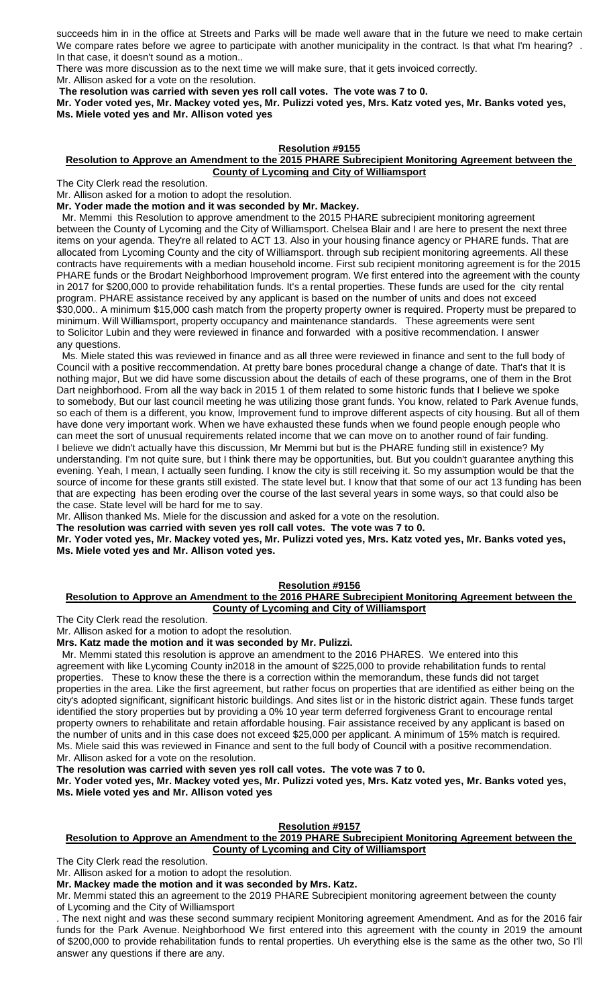succeeds him in in the office at Streets and Parks will be made well aware that in the future we need to make certain We compare rates before we agree to participate with another municipality in the contract. Is that what I'm hearing? . In that case, it doesn't sound as a motion..

There was more discussion as to the next time we will make sure, that it gets invoiced correctly. Mr. Allison asked for a vote on the resolution.

**The resolution was carried with seven yes roll call votes. The vote was 7 to 0.**

**Mr. Yoder voted yes, Mr. Mackey voted yes, Mr. Pulizzi voted yes, Mrs. Katz voted yes, Mr. Banks voted yes, Ms. Miele voted yes and Mr. Allison voted yes**

## **Resolution #9155**

#### **Resolution to Approve an Amendment to the 2015 PHARE Subrecipient Monitoring Agreement between the County of Lycoming and City of Williamsport**

The City Clerk read the resolution.

Mr. Allison asked for a motion to adopt the resolution.

**Mr. Yoder made the motion and it was seconded by Mr. Mackey.**

 Mr. Memmi this Resolution to approve amendment to the 2015 PHARE subrecipient monitoring agreement between the County of Lycoming and the City of Williamsport. Chelsea Blair and I are here to present the next three items on your agenda. They're all related to ACT 13. Also in your housing finance agency or PHARE funds. That are allocated from Lycoming County and the city of Williamsport. through sub recipient monitoring agreements. All these contracts have requirements with a median household income. First sub recipient monitoring agreement is for the 2015 PHARE funds or the Brodart Neighborhood Improvement program. We first entered into the agreement with the county in 2017 for \$200,000 to provide rehabilitation funds. It's a rental properties. These funds are used for the city rental program. PHARE assistance received by any applicant is based on the number of units and does not exceed \$30,000.. A minimum \$15,000 cash match from the property property owner is required. Property must be prepared to minimum. Will Williamsport, property occupancy and maintenance standards. These agreements were sent to Solicitor Lubin and they were reviewed in finance and forwarded with a positive recommendation. I answer any questions.

 Ms. Miele stated this was reviewed in finance and as all three were reviewed in finance and sent to the full body of Council with a positive reccommendation. At pretty bare bones procedural change a change of date. That's that It is nothing major, But we did have some discussion about the details of each of these programs, one of them in the Brot Dart neighborhood. From all the way back in 2015 1 of them related to some historic funds that I believe we spoke to somebody, But our last council meeting he was utilizing those grant funds. You know, related to Park Avenue funds, so each of them is a different, you know, Improvement fund to improve different aspects of city housing. But all of them have done very important work. When we have exhausted these funds when we found people enough people who can meet the sort of unusual requirements related income that we can move on to another round of fair funding. I believe we didn't actually have this discussion, Mr Memmi but but is the PHARE funding still in existence? My understanding. I'm not quite sure, but I think there may be opportunities, but. But you couldn't guarantee anything this evening. Yeah, I mean, I actually seen funding. I know the city is still receiving it. So my assumption would be that the source of income for these grants still existed. The state level but. I know that that some of our act 13 funding has been that are expecting has been eroding over the course of the last several years in some ways, so that could also be the case. State level will be hard for me to say.

Mr. Allison thanked Ms. Miele for the discussion and asked for a vote on the resolution.

**The resolution was carried with seven yes roll call votes. The vote was 7 to 0.**

**Mr. Yoder voted yes, Mr. Mackey voted yes, Mr. Pulizzi voted yes, Mrs. Katz voted yes, Mr. Banks voted yes, Ms. Miele voted yes and Mr. Allison voted yes.**

## **Resolution #9156**

#### **Resolution to Approve an Amendment to the 2016 PHARE Subrecipient Monitoring Agreement between the County of Lycoming and City of Williamsport**

The City Clerk read the resolution.

Mr. Allison asked for a motion to adopt the resolution.

### **Mrs. Katz made the motion and it was seconded by Mr. Pulizzi.**

 Mr. Memmi stated this resolution is approve an amendment to the 2016 PHARES. We entered into this agreement with like Lycoming County in2018 in the amount of \$225,000 to provide rehabilitation funds to rental properties. These to know these the there is a correction within the memorandum, these funds did not target properties in the area. Like the first agreement, but rather focus on properties that are identified as either being on the city's adopted significant, significant historic buildings. And sites list or in the historic district again. These funds target identified the story properties but by providing a 0% 10 year term deferred forgiveness Grant to encourage rental property owners to rehabilitate and retain affordable housing. Fair assistance received by any applicant is based on the number of units and in this case does not exceed \$25,000 per applicant. A minimum of 15% match is required. Ms. Miele said this was reviewed in Finance and sent to the full body of Council with a positive recommendation. Mr. Allison asked for a vote on the resolution.

**The resolution was carried with seven yes roll call votes. The vote was 7 to 0.**

**Mr. Yoder voted yes, Mr. Mackey voted yes, Mr. Pulizzi voted yes, Mrs. Katz voted yes, Mr. Banks voted yes, Ms. Miele voted yes and Mr. Allison voted yes**

### **Resolution #9157**

## **Resolution to Approve an Amendment to the 2019 PHARE Subrecipient Monitoring Agreement between the County of Lycoming and City of Williamsport**

The City Clerk read the resolution.

Mr. Allison asked for a motion to adopt the resolution.

**Mr. Mackey made the motion and it was seconded by Mrs. Katz.**

Mr. Memmi stated this an agreement to the 2019 PHARE Subrecipient monitoring agreement between the county of Lycoming and the City of Williamsport

. The next night and was these second summary recipient Monitoring agreement Amendment. And as for the 2016 fair funds for the Park Avenue. Neighborhood We first entered into this agreement with the county in 2019 the amount of \$200,000 to provide rehabilitation funds to rental properties. Uh everything else is the same as the other two, So I'll answer any questions if there are any.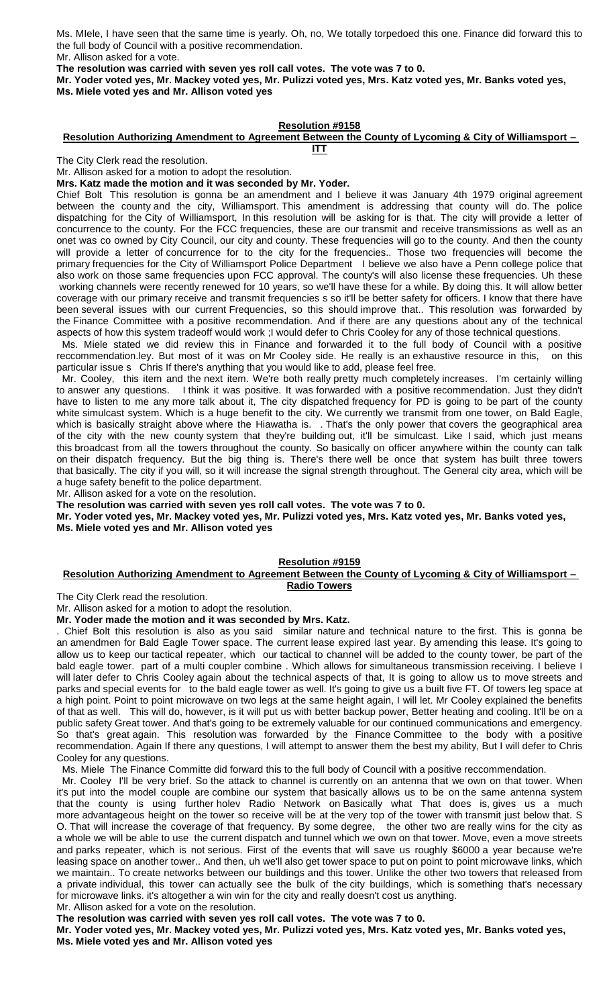Ms. MIele, I have seen that the same time is yearly. Oh, no, We totally torpedoed this one. Finance did forward this to the full body of Council with a positive recommendation. Mr. Allison asked for a vote.

**The resolution was carried with seven yes roll call votes. The vote was 7 to 0.**

**Mr. Yoder voted yes, Mr. Mackey voted yes, Mr. Pulizzi voted yes, Mrs. Katz voted yes, Mr. Banks voted yes, Ms. Miele voted yes and Mr. Allison voted yes**

### **Resolution #9158**

#### **Resolution Authorizing Amendment to Agreement Between the County of Lycoming & City of Williamsport – ITT**

The City Clerk read the resolution.

Mr. Allison asked for a motion to adopt the resolution.

**Mrs. Katz made the motion and it was seconded by Mr. Yoder.**

Chief Bolt This resolution is gonna be an amendment and I believe it was January 4th 1979 original agreement between the county and the city, Williamsport. This amendment is addressing that county will do. The police dispatching for the City of Williamsport, In this resolution will be asking for is that. The city will provide a letter of concurrence to the county. For the FCC frequencies, these are our transmit and receive transmissions as well as an onet was co owned by City Council, our city and county. These frequencies will go to the county. And then the county will provide a letter of concurrence for to the city for the frequencies.. Those two frequencies will become the primary frequencies for the City of Williamsport Police Department I believe we also have a Penn college police that also work on those same frequencies upon FCC approval. The county's will also license these frequencies. Uh these working channels were recently renewed for 10 years, so we'll have these for a while. By doing this. It will allow better coverage with our primary receive and transmit frequencies s so it'll be better safety for officers. I know that there have been several issues with our current Frequencies, so this should improve that.. This resolution was forwarded by the Finance Committee with a positive recommendation. And if there are any questions about any of the technical aspects of how this system tradeoff would work ;I would defer to Chris Cooley for any of those technical questions.

 Ms. Miele stated we did review this in Finance and forwarded it to the full body of Council with a positive reccommendation.ley. But most of it was on Mr Cooley side. He really is an exhaustive resource in this, on this particular issue s Chris If there's anything that you would like to add, please feel free.

 Mr. Cooley, this item and the next item. We're both really pretty much completely increases. I'm certainly willing to answer any questions. I think it was positive. It was forwarded with a positive recommendation. Just they didn't have to listen to me any more talk about it, The city dispatched frequency for PD is going to be part of the county white simulcast system. Which is a huge benefit to the city. We currently we transmit from one tower, on Bald Eagle, which is basically straight above where the Hiawatha is. . That's the only power that covers the geographical area of the city with the new county system that they're building out, it'll be simulcast. Like I said, which just means this broadcast from all the towers throughout the county. So basically on officer anywhere within the county can talk on their dispatch frequency. But the big thing is. There's there well be once that system has built three towers that basically. The city if you will, so it will increase the signal strength throughout. The General city area, which will be a huge safety benefit to the police department.

Mr. Allison asked for a vote on the resolution.

**The resolution was carried with seven yes roll call votes. The vote was 7 to 0.**

**Mr. Yoder voted yes, Mr. Mackey voted yes, Mr. Pulizzi voted yes, Mrs. Katz voted yes, Mr. Banks voted yes, Ms. Miele voted yes and Mr. Allison voted yes**

## **Resolution #9159**

#### **Resolution Authorizing Amendment to Agreement Between the County of Lycoming & City of Williamsport – Radio Towers**

The City Clerk read the resolution.

Mr. Allison asked for a motion to adopt the resolution.

**Mr. Yoder made the motion and it was seconded by Mrs. Katz.**

. Chief Bolt this resolution is also as you said similar nature and technical nature to the first. This is gonna be an amendmen for Bald Eagle Tower space. The current lease expired last year. By amending this lease. It's going to allow us to keep our tactical repeater, which our tactical to channel will be added to the county tower, be part of the bald eagle tower. part of a multi coupler combine . Which allows for simultaneous transmission receiving. I believe I will later defer to Chris Cooley again about the technical aspects of that, It is going to allow us to move streets and parks and special events for to the bald eagle tower as well. It's going to give us a built five FT. Of towers leg space at a high point. Point to point microwave on two legs at the same height again, I will let. Mr Cooley explained the benefits of that as well. This will do, however, is it will put us with better backup power, Better heating and cooling. It'll be on a public safety Great tower. And that's going to be extremely valuable for our continued communications and emergency. So that's great again. This resolution was forwarded by the Finance Committee to the body with a positive recommendation. Again If there any questions, I will attempt to answer them the best my ability, But I will defer to Chris Cooley for any questions.

Ms. Miele The Finance Committe did forward this to the full body of Council with a positive reccommendation.

 Mr. Cooley I'll be very brief. So the attack to channel is currently on an antenna that we own on that tower. When it's put into the model couple are combine our system that basically allows us to be on the same antenna system that the county is using further holev Radio Network on Basically what That does is, gives us a much more advantageous height on the tower so receive will be at the very top of the tower with transmit just below that. S O. That will increase the coverage of that frequency. By some degree, the other two are really wins for the city as a whole we will be able to use the current dispatch and tunnel which we own on that tower. Move, even a move streets and parks repeater, which is not serious. First of the events that will save us roughly \$6000 a year because we're leasing space on another tower.. And then, uh we'll also get tower space to put on point to point microwave links, which we maintain.. To create networks between our buildings and this tower. Unlike the other two towers that released from a private individual, this tower can actually see the bulk of the city buildings, which is something that's necessary for microwave links. it's altogether a win win for the city and really doesn't cost us anything. Mr. Allison asked for a vote on the resolution.

**The resolution was carried with seven yes roll call votes. The vote was 7 to 0.**

**Mr. Yoder voted yes, Mr. Mackey voted yes, Mr. Pulizzi voted yes, Mrs. Katz voted yes, Mr. Banks voted yes, Ms. Miele voted yes and Mr. Allison voted yes**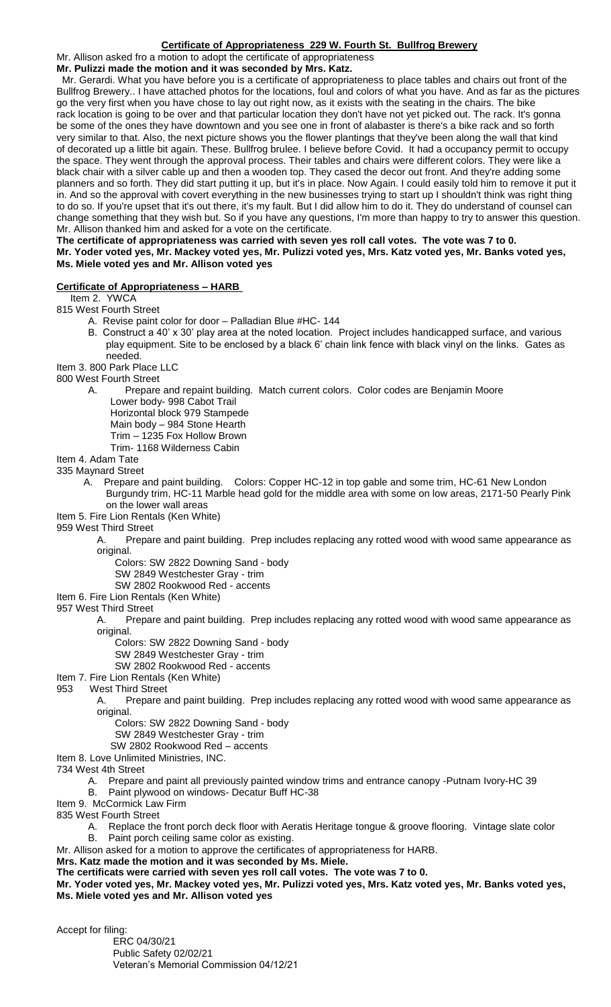## **Certificate of Appropriateness 229 W. Fourth St. Bullfrog Brewery**

Mr. Allison asked fro a motion to adopt the certificate of appropriateness

**Mr. Pulizzi made the motion and it was seconded by Mrs. Katz.**

 Mr. Gerardi. What you have before you is a certificate of appropriateness to place tables and chairs out front of the Bullfrog Brewery.. I have attached photos for the locations, foul and colors of what you have. And as far as the pictures go the very first when you have chose to lay out right now, as it exists with the seating in the chairs. The bike rack location is going to be over and that particular location they don't have not yet picked out. The rack. It's gonna be some of the ones they have downtown and you see one in front of alabaster is there's a bike rack and so forth very similar to that. Also, the next picture shows you the flower plantings that they've been along the wall that kind of decorated up a little bit again. These. Bullfrog brulee. I believe before Covid. It had a occupancy permit to occupy the space. They went through the approval process. Their tables and chairs were different colors. They were like a black chair with a silver cable up and then a wooden top. They cased the decor out front. And they're adding some planners and so forth. They did start putting it up, but it's in place. Now Again. I could easily told him to remove it put it in. And so the approval with covert everything in the new businesses trying to start up I shouldn't think was right thing to do so. If you're upset that it's out there, it's my fault. But I did allow him to do it. They do understand of counsel can change something that they wish but. So if you have any questions, I'm more than happy to try to answer this question. Mr. Allison thanked him and asked for a vote on the certificate.

**The certificate of appropriateness was carried with seven yes roll call votes. The vote was 7 to 0. Mr. Yoder voted yes, Mr. Mackey voted yes, Mr. Pulizzi voted yes, Mrs. Katz voted yes, Mr. Banks voted yes, Ms. Miele voted yes and Mr. Allison voted yes**

## **Certificate of Appropriateness – HARB**

Item 2. YWCA

- 815 West Fourth Street
	- A. Revise paint color for door Palladian Blue #HC- 144
	- B. Construct a 40' x 30' play area at the noted location. Project includes handicapped surface, and various play equipment. Site to be enclosed by a black 6' chain link fence with black vinyl on the links. Gates as needed.

Item 3. 800 Park Place LLC

800 West Fourth Street

A. Prepare and repaint building. Match current colors. Color codes are Benjamin Moore Lower body- 998 Cabot Trail

Horizontal block 979 Stampede

Main body – 984 Stone Hearth

Trim – 1235 Fox Hollow Brown

Trim- 1168 Wilderness Cabin

Item 4. Adam Tate

335 Maynard Street

- A. Prepare and paint building. Colors: Copper HC-12 in top gable and some trim, HC-61 New London Burgundy trim, HC-11 Marble head gold for the middle area with some on low areas, 2171-50 Pearly Pink on the lower wall areas
- Item 5. Fire Lion Rentals (Ken White)

959 West Third Street

A. Prepare and paint building. Prep includes replacing any rotted wood with wood same appearance as original.

Colors: SW 2822 Downing Sand - body

SW 2849 Westchester Gray - trim

SW 2802 Rookwood Red - accents

# Item 6. Fire Lion Rentals (Ken White)

957 West Third Street

A. Prepare and paint building. Prep includes replacing any rotted wood with wood same appearance as original.

Colors: SW 2822 Downing Sand - body

SW 2849 Westchester Gray - trim

SW 2802 Rookwood Red - accents

Item 7. Fire Lion Rentals (Ken White)

953 West Third Street

A. Prepare and paint building. Prep includes replacing any rotted wood with wood same appearance as original.

Colors: SW 2822 Downing Sand - body

SW 2849 Westchester Gray - trim

SW 2802 Rookwood Red – accents

Item 8. Love Unlimited Ministries, INC.

- 734 West 4th Street
	- A. Prepare and paint all previously painted window trims and entrance canopy -Putnam Ivory-HC 39

B. Paint plywood on windows- Decatur Buff HC-38

Item 9. McCormick Law Firm

835 West Fourth Street

A. Replace the front porch deck floor with Aeratis Heritage tongue & groove flooring. Vintage slate color B. Paint porch ceiling same color as existing.

Mr. Allison asked for a motion to approve the certificates of appropriateness for HARB.

**Mrs. Katz made the motion and it was seconded by Ms. Miele.**

**The certificats were carried with seven yes roll call votes. The vote was 7 to 0.**

**Mr. Yoder voted yes, Mr. Mackey voted yes, Mr. Pulizzi voted yes, Mrs. Katz voted yes, Mr. Banks voted yes, Ms. Miele voted yes and Mr. Allison voted yes**

Accept for filing: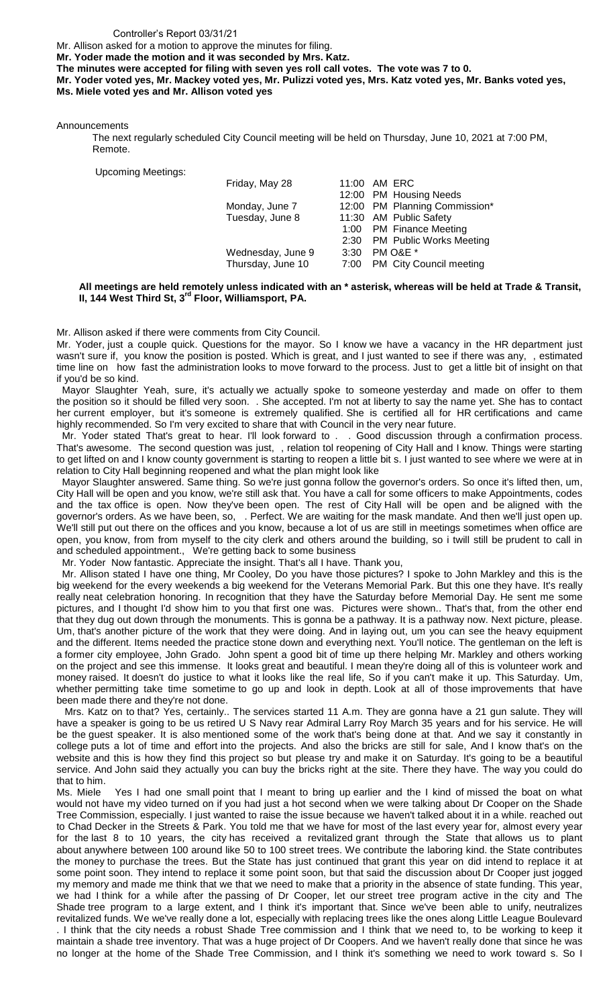#### Controller's Report 03/31/21

Mr. Allison asked for a motion to approve the minutes for filing.

**Mr. Yoder made the motion and it was seconded by Mrs. Katz.**

**The minutes were accepted for filing with seven yes roll call votes. The vote was 7 to 0.**

**Mr. Yoder voted yes, Mr. Mackey voted yes, Mr. Pulizzi voted yes, Mrs. Katz voted yes, Mr. Banks voted yes, Ms. Miele voted yes and Mr. Allison voted yes**

Announcements

The next regularly scheduled City Council meeting will be held on Thursday, June 10, 2021 at 7:00 PM, Remote.

| <b>Upcoming Meetings:</b> |                   |      |                               |
|---------------------------|-------------------|------|-------------------------------|
|                           | Friday, May 28    |      | 11:00 AM ERC                  |
|                           |                   |      | 12:00 PM Housing Needs        |
|                           | Monday, June 7    |      | 12:00 PM Planning Commission* |
|                           | Tuesday, June 8   |      | 11:30 AM Public Safety        |
|                           |                   |      | 1:00 PM Finance Meeting       |
|                           |                   |      | 2:30 PM Public Works Meeting  |
|                           | Wednesday, June 9 | 3:30 | PM O&E *                      |
|                           | Thursday, June 10 |      | 7:00 PM City Council meeting  |
|                           |                   |      |                               |

#### **All meetings are held remotely unless indicated with an \* asterisk, whereas will be held at Trade & Transit, II, 144 West Third St, 3rd Floor, Williamsport, PA.**

Mr. Allison asked if there were comments from City Council.

Mr. Yoder, just a couple quick. Questions for the mayor. So I know we have a vacancy in the HR department just wasn't sure if, you know the position is posted. Which is great, and I just wanted to see if there was any, , estimated time line on how fast the administration looks to move forward to the process. Just to get a little bit of insight on that if you'd be so kind.

 Mayor Slaughter Yeah, sure, it's actually we actually spoke to someone yesterday and made on offer to them the position so it should be filled very soon. . She accepted. I'm not at liberty to say the name yet. She has to contact her current employer, but it's someone is extremely qualified. She is certified all for HR certifications and came highly recommended. So I'm very excited to share that with Council in the very near future.

Mr. Yoder stated That's great to hear. I'll look forward to . . Good discussion through a confirmation process. That's awesome. The second question was just, , relation tol reopening of City Hall and I know. Things were starting to get lifted on and I know county government is starting to reopen a little bit s. I just wanted to see where we were at in relation to City Hall beginning reopened and what the plan might look like

 Mayor Slaughter answered. Same thing. So we're just gonna follow the governor's orders. So once it's lifted then, um, City Hall will be open and you know, we're still ask that. You have a call for some officers to make Appointments, codes and the tax office is open. Now they've been open. The rest of City Hall will be open and be aligned with the governor's orders. As we have been, so, . Perfect. We are waiting for the mask mandate. And then we'll just open up. We'll still put out there on the offices and you know, because a lot of us are still in meetings sometimes when office are open, you know, from from myself to the city clerk and others around the building, so i twill still be prudent to call in and scheduled appointment., We're getting back to some business

Mr. Yoder Now fantastic. Appreciate the insight. That's all I have. Thank you,

 Mr. Allison stated I have one thing, Mr Cooley, Do you have those pictures? I spoke to John Markley and this is the big weekend for the every weekends a big weekend for the Veterans Memorial Park. But this one they have. It's really really neat celebration honoring. In recognition that they have the Saturday before Memorial Day. He sent me some pictures, and I thought I'd show him to you that first one was. Pictures were shown.. That's that, from the other end that they dug out down through the monuments. This is gonna be a pathway. It is a pathway now. Next picture, please. Um, that's another picture of the work that they were doing. And in laying out, um you can see the heavy equipment and the different. Items needed the practice stone down and everything next. You'll notice. The gentleman on the left is a former city employee, John Grado. John spent a good bit of time up there helping Mr. Markley and others working on the project and see this immense. It looks great and beautiful. I mean they're doing all of this is volunteer work and money raised. It doesn't do justice to what it looks like the real life, So if you can't make it up. This Saturday. Um, whether permitting take time sometime to go up and look in depth. Look at all of those improvements that have been made there and they're not done.

 Mrs. Katz on to that? Yes, certainly.. The services started 11 A.m. They are gonna have a 21 gun salute. They will have a speaker is going to be us retired U S Navy rear Admiral Larry Roy March 35 years and for his service. He will be the guest speaker. It is also mentioned some of the work that's being done at that. And we say it constantly in college puts a lot of time and effort into the projects. And also the bricks are still for sale, And I know that's on the website and this is how they find this project so but please try and make it on Saturday. It's going to be a beautiful service. And John said they actually you can buy the bricks right at the site. There they have. The way you could do that to him.

Ms. Miele Yes I had one small point that I meant to bring up earlier and the I kind of missed the boat on what would not have my video turned on if you had just a hot second when we were talking about Dr Cooper on the Shade Tree Commission, especially. I just wanted to raise the issue because we haven't talked about it in a while. reached out to Chad Decker in the Streets & Park. You told me that we have for most of the last every year for, almost every year for the last 8 to 10 years, the city has received a revitalized grant through the State that allows us to plant about anywhere between 100 around like 50 to 100 street trees. We contribute the laboring kind. the State contributes the money to purchase the trees. But the State has just continued that grant this year on did intend to replace it at some point soon. They intend to replace it some point soon, but that said the discussion about Dr Cooper just jogged my memory and made me think that we that we need to make that a priority in the absence of state funding. This year, we had I think for a while after the passing of Dr Cooper, let our street tree program active in the city and The Shade tree program to a large extent, and I think it's important that. Since we've been able to unify, neutralizes revitalized funds. We we've really done a lot, especially with replacing trees like the ones along Little League Boulevard . I think that the city needs a robust Shade Tree commission and I think that we need to, to be working to keep it maintain a shade tree inventory. That was a huge project of Dr Coopers. And we haven't really done that since he was no longer at the home of the Shade Tree Commission, and I think it's something we need to work toward s. So I